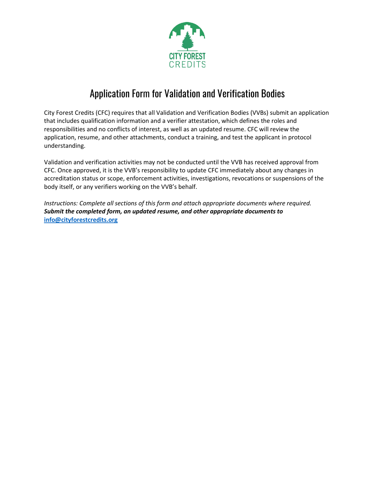

## Application Form for Validation and Verification Bodies

City Forest Credits (CFC) requires that all Validation and Verification Bodies (VVBs) submit an application that includes qualification information and a verifier attestation, which defines the roles and responsibilities and no conflicts of interest, as well as an updated resume. CFC will review the application, resume, and other attachments, conduct a training, and test the applicant in protocol understanding.

Validation and verification activities may not be conducted until the VVB has received approval from CFC. Once approved, it is the VVB's responsibility to update CFC immediately about any changes in accreditation status or scope, enforcement activities, investigations, revocations or suspensions of the body itself, or any verifiers working on the VVB's behalf.

*Instructions: Complete all sections of this form and attach appropriate documents where required. Submit the completed form, an updated resume, and other appropriate documents to* **[info@cityforestcredits.org](mailto:info@cityforestcredits.org)**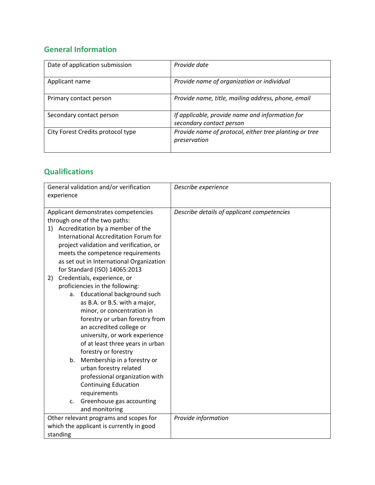## **General Information**

| Date of application submission    | Provide date                                                                |
|-----------------------------------|-----------------------------------------------------------------------------|
| Applicant name                    | Provide name of organization or individual                                  |
| Primary contact person            | Provide name, title, mailing address, phone, email                          |
| Secondary contact person          | If applicable, provide name and information for<br>secondary contact person |
| City Forest Credits protocol type | Provide name of protocol, either tree planting or tree<br>preservation      |

## **Qualifications**

| General validation and/or verification<br>experience                                                                                                                                                                                                       | Describe experience                        |
|------------------------------------------------------------------------------------------------------------------------------------------------------------------------------------------------------------------------------------------------------------|--------------------------------------------|
| Applicant demonstrates competencies<br>through one of the two paths:<br>1) Accreditation by a member of the<br>International Accreditation Forum for<br>project validation and verification, or<br>meets the competence requirements                       | Describe details of applicant competencies |
| as set out in International Organization<br>for Standard (ISO) 14065:2013                                                                                                                                                                                  |                                            |
| Credentials, experience, or<br>2)<br>proficiencies in the following:                                                                                                                                                                                       |                                            |
| a. Educational background such<br>as B.A. or B.S. with a major,<br>minor, or concentration in<br>forestry or urban forestry from<br>an accredited college or<br>university, or work experience<br>of at least three years in urban<br>forestry or forestry |                                            |
| b. Membership in a forestry or<br>urban forestry related<br>professional organization with<br><b>Continuing Education</b><br>requirements<br>Greenhouse gas accounting<br>c.<br>and monitoring                                                             |                                            |
| Other relevant programs and scopes for                                                                                                                                                                                                                     | Provide information                        |
| which the applicant is currently in good<br>standing                                                                                                                                                                                                       |                                            |